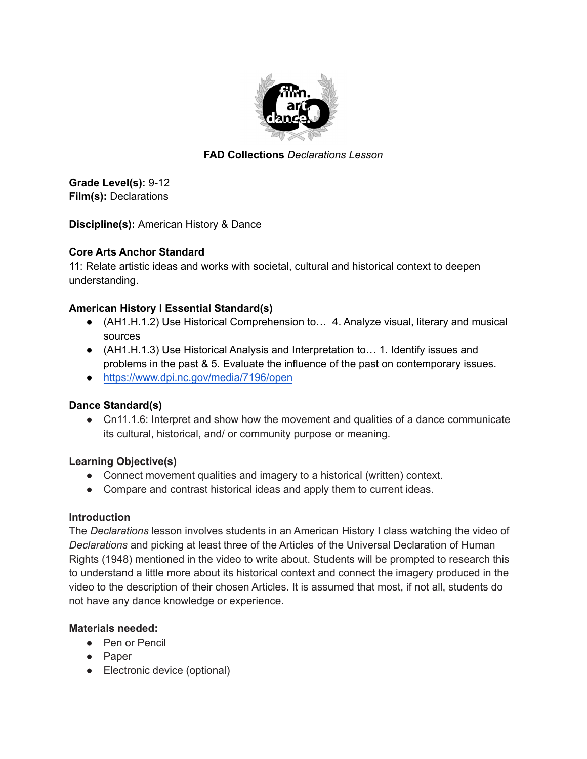

# **FAD Collections** *Declarations Lesson*

**Grade Level(s):** 9-12 **Film(s):** Declarations

**Discipline(s):** American History & Dance

### **Core Arts Anchor Standard**

11: Relate artistic ideas and works with societal, cultural and historical context to deepen understanding.

# **American History I Essential Standard(s)**

- (AH1.H.1.2) Use Historical Comprehension to... 4. Analyze visual, literary and musical sources
- (AH1.H.1.3) Use Historical Analysis and Interpretation to... 1. Identify issues and problems in the past & 5. Evaluate the influence of the past on contemporary issues.
- <https://www.dpi.nc.gov/media/7196/open>

# **Dance Standard(s)**

• Cn11.1.6: Interpret and show how the movement and qualities of a dance communicate its cultural, historical, and/ or community purpose or meaning.

### **Learning Objective(s)**

- Connect movement qualities and imagery to a historical (written) context.
- Compare and contrast historical ideas and apply them to current ideas.

### **Introduction**

The *Declarations* lesson involves students in an American History I class watching the video of *Declarations* and picking at least three of the Articles of the Universal Declaration of Human Rights (1948) mentioned in the video to write about. Students will be prompted to research this to understand a little more about its historical context and connect the imagery produced in the video to the description of their chosen Articles. It is assumed that most, if not all, students do not have any dance knowledge or experience.

# **Materials needed:**

- Pen or Pencil
- Paper
- Electronic device (optional)